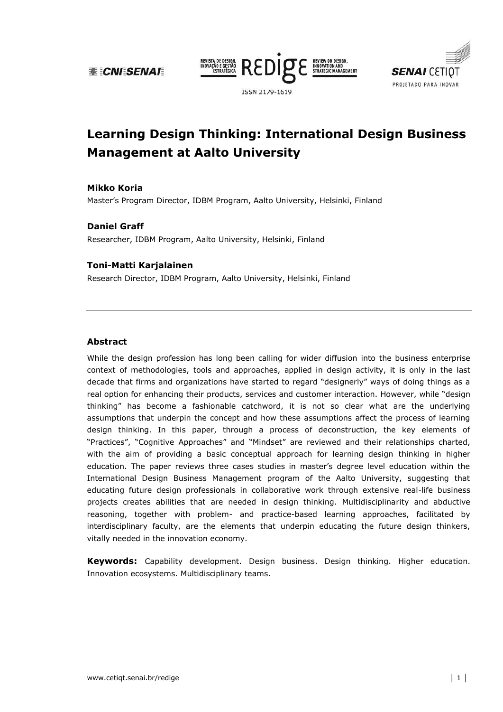**BE CNI SENAI** 





# **Learning Design Thinking: International Design Business Management at Aalto University**

#### **Mikko!Koria**

Master's Program Director, IDBM Program, Aalto University, Helsinki, Finland

#### **Daniel Graff**

Researcher, IDBM Program, Aalto University, Helsinki, Finland

#### **Toni>Matti!Karjalainen**

Research Director, IDBM Program, Aalto University, Helsinki, Finland

#### **Abstract**

While the design profession has long been calling for wider diffusion into the business enterprise context of methodologies, tools and approaches, applied in design activity, it is only in the last decade that firms and organizations have started to regard "designerly" ways of doing things as a real option for enhancing their products, services and customer interaction. However, while "design thinking" has become a fashionable catchword, it is not so clear what are the underlying assumptions that underpin the concept and how these assumptions affect the process of learning design thinking. In this paper, through a process of deconstruction, the key elements of "Practices", "Cognitive Approaches" and "Mindset" are reviewed and their relationships charted, with the aim of providing a basic conceptual approach for learning design thinking in higher education. The paper reviews three cases studies in master's degree level education within the International Design Business Management program of the Aalto University, suggesting that educating future design professionals in collaborative work through extensive real-life business projects creates abilities that are needed in design thinking. Multidisciplinarity and abductive reasoning, together with problem- and practice-based learning approaches, facilitated by interdisciplinary faculty, are the elements that underpin educating the future design thinkers, vitally needed in the innovation economy.

**Keywords:** Capability development. Design business. Design thinking. Higher education. Innovation ecosystems. Multidisciplinary teams.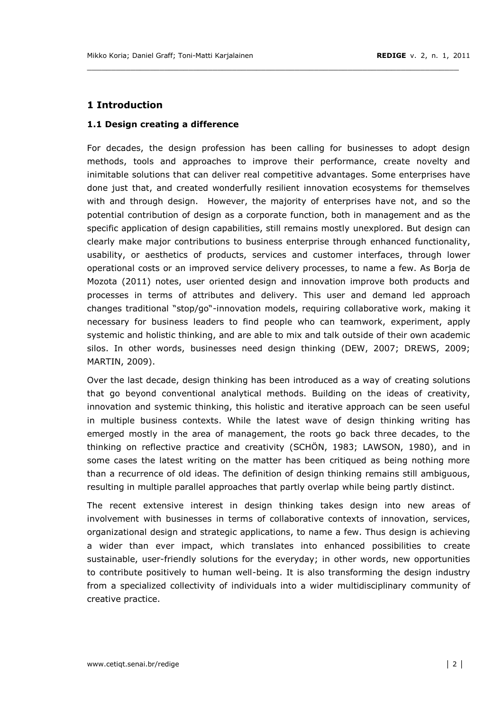# **1 Introduction**

## **1.1 Design creating a difference**

For decades, the design profession has been calling for businesses to adopt design methods, tools and approaches to improve their performance, create novelty and inimitable solutions that can deliver real competitive advantages. Some enterprises have done just that, and created wonderfully resilient innovation ecosystems for themselves with and through design. However, the majority of enterprises have not, and so the potential contribution of design as a corporate function, both in management and as the specific application of design capabilities, still remains mostly unexplored. But design can clearly make major contributions to business enterprise through enhanced functionality, usability, or aesthetics of products, services and customer interfaces, through lower operational costs or an improved service delivery processes, to name a few. As Borja de Mozota (2011) notes, user oriented design and innovation improve both products and processes in terms of attributes and delivery. This user and demand led approach changes traditional "stop/go"-innovation models, requiring collaborative work, making it necessary for business leaders to find people who can teamwork, experiment, apply systemic and holistic thinking, and are able to mix and talk outside of their own academic silos. In other words, businesses need design thinking (DEW, 2007; DREWS, 2009; MARTIN, 2009).

\_\_\_\_\_\_\_\_\_\_\_\_\_\_\_\_\_\_\_\_\_\_\_\_\_\_\_\_\_\_\_\_\_\_\_\_\_\_\_\_\_\_\_\_\_\_\_\_\_\_\_\_\_\_\_\_\_\_\_\_\_\_\_\_\_\_\_\_\_\_\_\_\_\_\_\_\_

Over the last decade, design thinking has been introduced as a way of creating solutions that go beyond conventional analytical methods. Building on the ideas of creativity, innovation and systemic thinking, this holistic and iterative approach can be seen useful in multiple business contexts. While the latest wave of design thinking writing has emerged mostly in the area of management, the roots go back three decades, to the thinking on reflective practice and creativity (SCHÖN, 1983; LAWSON, 1980), and in some cases the latest writing on the matter has been critiqued as being nothing more than a recurrence of old ideas. The definition of design thinking remains still ambiguous, resulting in multiple parallel approaches that partly overlap while being partly distinct.

The recent extensive interest in design thinking takes design into new areas of involvement with businesses in terms of collaborative contexts of innovation, services, organizational design and strategic applications, to name a few. Thus design is achieving a wider than ever impact, which translates into enhanced possibilities to create sustainable, user-friendly solutions for the everyday; in other words, new opportunities to contribute positively to human well-being. It is also transforming the design industry from a specialized collectivity of individuals into a wider multidisciplinary community of creative practice.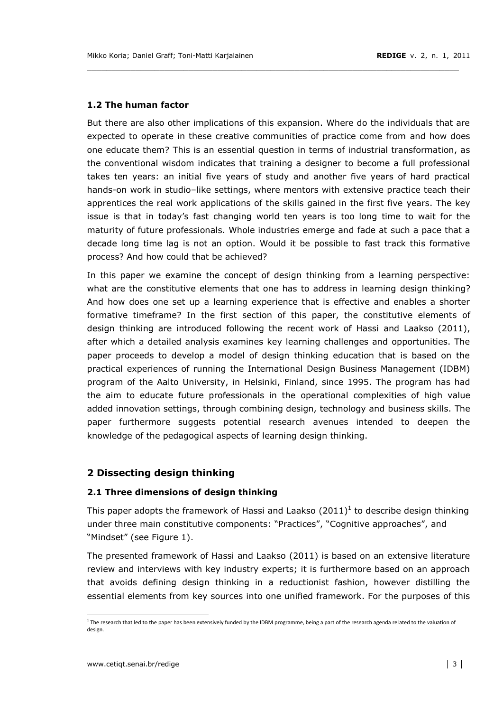## **1.2 The human factor**

But there are also other implications of this expansion. Where do the individuals that are expected to operate in these creative communities of practice come from and how does one educate them? This is an essential question in terms of industrial transformation, as the conventional wisdom indicates that training a designer to become a full professional takes ten years: an initial five years of study and another five years of hard practical hands-on work in studio-like settings, where mentors with extensive practice teach their apprentices the real work applications of the skills gained in the first five years. The key issue is that in today's fast changing world ten years is too long time to wait for the maturity of future professionals. Whole industries emerge and fade at such a pace that a decade long time lag is not an option. Would it be possible to fast track this formative process? And how could that be achieved?

\_\_\_\_\_\_\_\_\_\_\_\_\_\_\_\_\_\_\_\_\_\_\_\_\_\_\_\_\_\_\_\_\_\_\_\_\_\_\_\_\_\_\_\_\_\_\_\_\_\_\_\_\_\_\_\_\_\_\_\_\_\_\_\_\_\_\_\_\_\_\_\_\_\_\_\_\_

In this paper we examine the concept of design thinking from a learning perspective: what are the constitutive elements that one has to address in learning design thinking? And how does one set up a learning experience that is effective and enables a shorter formative timeframe? In the first section of this paper, the constitutive elements of design thinking are introduced following the recent work of Hassi and Laakso (2011), after which a detailed analysis examines key learning challenges and opportunities. The paper proceeds to develop a model of design thinking education that is based on the practical experiences of running the International Design Business Management (IDBM) program of the Aalto University, in Helsinki, Finland, since 1995. The program has had the aim to educate future professionals in the operational complexities of high value added innovation settings, through combining design, technology and business skills. The paper furthermore suggests potential research avenues intended to deepen the knowledge of the pedagogical aspects of learning design thinking.

## **2!Dissecting!design!thinking**

## **2.1 Three dimensions of design thinking**

This paper adopts the framework of Hassi and Laakso (2011)<sup>1</sup> to describe design thinking under three main constitutive components: "Practices", "Cognitive approaches", and "Mindset" (see Figure 1).

The presented framework of Hassi and Laakso (2011) is based on an extensive literature review and interviews with key industry experts; it is furthermore based on an approach that avoids defining design thinking in a reductionist fashion, however distilling the essential elements from key sources into one unified framework. For the purposes of this

<sup>&</sup>lt;sup>1</sup> The research that led to the paper has been extensively funded by the IDBM programme, being a part of the research agenda related to the valuation of design.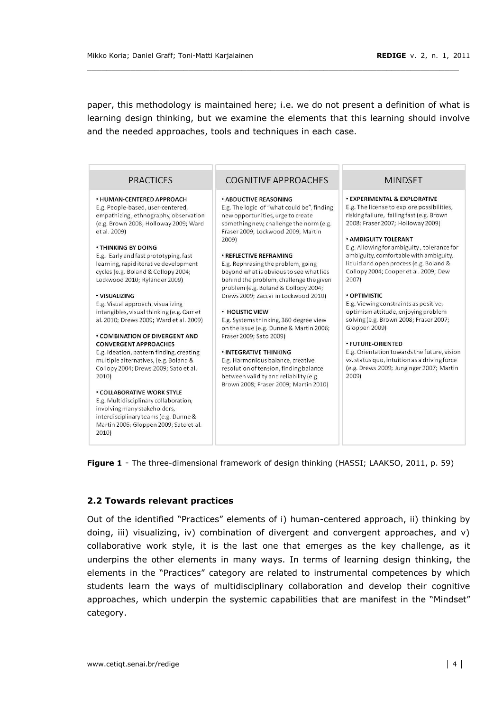paper, this methodology is maintained here; i.e. we do not present a definition of what is learning design thinking, but we examine the elements that this learning should involve and the needed approaches, tools and techniques in each case.

| <b>PRACTICES</b>                                                                                                                                                                                                                                                                                                                                                                                                                                                                                                                                                                                                                                                                                                                                                                                                                                                                                                                         | COGNITIVE APPROACHES                                                                                                                                                                                                                                                                                                                                                                                                                                                                                                                                                                                                                                                                                                                                                                                | <b>MINDSET</b>                                                                                                                                                                                                                                                                                                                                                                                                                                                                                                                                                                                                                                                                                                                               |
|------------------------------------------------------------------------------------------------------------------------------------------------------------------------------------------------------------------------------------------------------------------------------------------------------------------------------------------------------------------------------------------------------------------------------------------------------------------------------------------------------------------------------------------------------------------------------------------------------------------------------------------------------------------------------------------------------------------------------------------------------------------------------------------------------------------------------------------------------------------------------------------------------------------------------------------|-----------------------------------------------------------------------------------------------------------------------------------------------------------------------------------------------------------------------------------------------------------------------------------------------------------------------------------------------------------------------------------------------------------------------------------------------------------------------------------------------------------------------------------------------------------------------------------------------------------------------------------------------------------------------------------------------------------------------------------------------------------------------------------------------------|----------------------------------------------------------------------------------------------------------------------------------------------------------------------------------------------------------------------------------------------------------------------------------------------------------------------------------------------------------------------------------------------------------------------------------------------------------------------------------------------------------------------------------------------------------------------------------------------------------------------------------------------------------------------------------------------------------------------------------------------|
| <b>• HUMAN-CENTERED APPROACH</b><br>E.g. People-based, user-centered,<br>empathizing, ethnography, observation<br>(e.g. Brown 2008; Holloway 2009; Ward<br>et al. 2009)<br><b>. THINKING BY DOING</b><br>E.g. Early and fast prototyping, fast<br>learning, rapid iterative development<br>cycles (e.g. Boland & Collopy 2004;<br>Lockwood 2010; Rylander 2009)<br>· VISUALIZING<br>E.g. Visual approach, visualizing<br>intangibles, visual thinking (e.g. Carr et<br>al. 2010; Drews 2009; Ward et al. 2009)<br><b>• COMBINATION OF DIVERGENT AND</b><br><b>CONVERGENT APPROACHES</b><br>E.g. Ideation, pattern finding, creating<br>multiple alternatives, (e.g. Boland &<br>Collopy 2004; Drews 2009; Sato et al.<br>2010)<br><b>. COLLABORATIVE WORK STYLE</b><br>E.g. Multidisciplinary collaboration,<br>involving many stakeholders,<br>interdisciplinary teams (e.g. Dunne &<br>Martin 2006; Gloppen 2009; Sato et al.<br>2010) | <b>. ABDUCTIVE REASONING</b><br>E.g. The logic of "what could be", finding<br>new opportunities, urge to create<br>something new, challenge the norm (e.g.<br>Fraser 2009; Lockwood 2009; Martin<br>2009)<br><b>. REFLECTIVE REFRAMING</b><br>E.g. Rephrasing the problem, going<br>beyond what is obvious to see what lies<br>behind the problem, challenge the given<br>problem (e.g. Boland & Collopy 2004;<br>Drews 2009; Zaccai in Lockwood 2010)<br><b>• HOLISTIC VIEW</b><br>E.g. Systems thinking, 360 degree view<br>on the issue (e.g. Dunne & Martin 2006;<br>Fraser 2009; Sato 2009)<br><b>· INTEGRATIVE THINKING</b><br>E.g. Harmonious balance, creative<br>resolution of tension, finding balance<br>between validity and reliability (e.g.<br>Brown 2008; Fraser 2009; Martin 2010) | <b>. EXPERIMENTAL &amp; EXPLORATIVE</b><br>E.g. The license to explore possibilities,<br>risking failure, failing fast (e.g. Brown<br>2008; Fraser 2007; Holloway 2009)<br><b>* AMBIGUITY TOLERANT</b><br>E.g. Allowing for ambiguity, tolerance for<br>ambiguity, comfortable with ambiguity,<br>liquid and open process (e.g. Boland &<br>Collopy 2004; Cooper et al. 2009; Dew<br>2007)<br><b>• OPTIMISTIC</b><br>E.g. Viewing constraints as positive,<br>optimism attitude, enjoying problem<br>solving (e.g. Brown 2008; Fraser 2007;<br>Gloppen 2009)<br><b>. FUTURE ORIENTED</b><br>E.g. Orientation towards the future, vision<br>vs. status quo, intuition as a driving force<br>(e.g. Drews 2009; Junginger 2007; Martin<br>2009) |

Figure 1 - The three-dimensional framework of design thinking (HASSI; LAAKSO, 2011, p. 59)

#### 2.2 Towards relevant practices

Out of the identified "Practices" elements of i) human-centered approach, ii) thinking by doing, iii) visualizing, iv) combination of divergent and convergent approaches, and v) collaborative work style, it is the last one that emerges as the key challenge, as it underpins the other elements in many ways. In terms of learning design thinking, the elements in the "Practices" category are related to instrumental competences by which students learn the ways of multidisciplinary collaboration and develop their cognitive approaches, which underpin the systemic capabilities that are manifest in the "Mindset" category.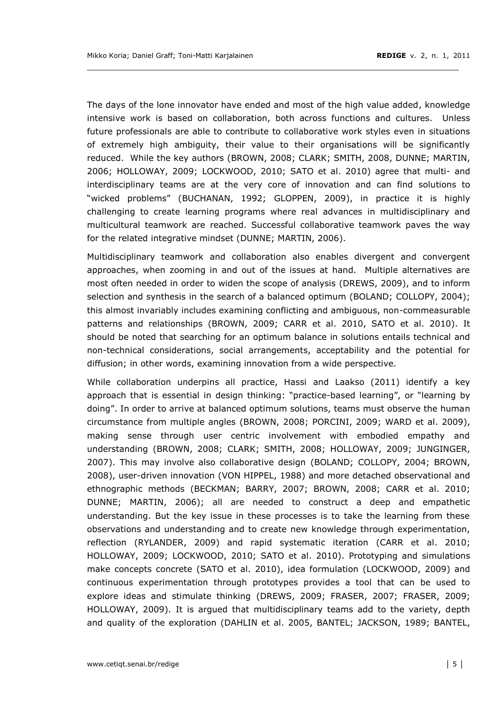The days of the lone innovator have ended and most of the high value added, knowledge intensive work is based on collaboration, both across functions and cultures. Unless future professionals are able to contribute to collaborative work styles even in situations of extremely high ambiguity, their value to their organisations will be significantly reduced. While the key authors (BROWN, 2008; CLARK; SMITH, 2008, DUNNE; MARTIN, 2006; HOLLOWAY, 2009; LOCKWOOD, 2010; SATO et al. 2010) agree that multi- and interdisciplinary teams are at the very core of innovation and can find solutions to "wicked problems" (BUCHANAN, 1992; GLOPPEN, 2009), in practice it is highly challenging to create learning programs where real advances in multidisciplinary and multicultural teamwork are reached. Successful collaborative teamwork paves the way for the related integrative mindset (DUNNE; MARTIN, 2006).

Multidisciplinary teamwork and collaboration also enables divergent and convergent approaches, when zooming in and out of the issues at hand. Multiple alternatives are most often needed in order to widen the scope of analysis (DREWS, 2009), and to inform selection and synthesis in the search of a balanced optimum (BOLAND; COLLOPY, 2004); this almost invariably includes examining conflicting and ambiguous, non-commeasurable patterns and relationships (BROWN, 2009; CARR et al. 2010, SATO et al. 2010). It should be noted that searching for an optimum balance in solutions entails technical and non-technical considerations, social arrangements, acceptability and the potential for diffusion; in other words, examining innovation from a wide perspective.

While collaboration underpins all practice, Hassi and Laakso (2011) identify a key approach that is essential in design thinking: "practice-based learning", or "learning by doing". In order to arrive at balanced optimum solutions, teams must observe the human circumstance from multiple angles (BROWN, 2008; PORCINI, 2009; WARD et al. 2009), making sense through user centric involvement with embodied empathy and understanding (BROWN, 2008; CLARK; SMITH, 2008; HOLLOWAY, 2009; JUNGINGER, 2007). This may involve also collaborative design (BOLAND; COLLOPY, 2004; BROWN, 2008), user-driven innovation (VON HIPPEL, 1988) and more detached observational and ethnographic methods (BECKMAN; BARRY, 2007; BROWN, 2008; CARR et al. 2010; DUNNE; MARTIN, 2006); all are needed to construct a deep and empathetic understanding. But the key issue in these processes is to take the learning from these observations and understanding and to create new knowledge through experimentation, reflection (RYLANDER, 2009) and rapid systematic iteration (CARR et al. 2010; HOLLOWAY, 2009; LOCKWOOD, 2010; SATO et al. 2010). Prototyping and simulations make concepts concrete (SATO et al. 2010), idea formulation (LOCKWOOD, 2009) and continuous experimentation through prototypes provides a tool that can be used to explore ideas and stimulate thinking (DREWS, 2009; FRASER, 2007; FRASER, 2009; HOLLOWAY, 2009). It is argued that multidisciplinary teams add to the variety, depth and quality of the exploration (DAHLIN et al. 2005, BANTEL; JACKSON, 1989; BANTEL,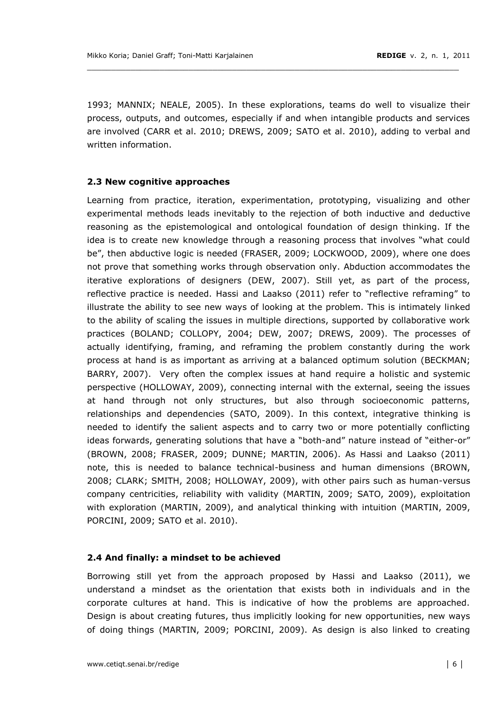1993; MANNIX; NEALE, 2005). In these explorations, teams do well to visualize their process, outputs, and outcomes, especially if and when intangible products and services are involved (CARR et al. 2010; DREWS, 2009; SATO et al. 2010), adding to verbal and written information.

\_\_\_\_\_\_\_\_\_\_\_\_\_\_\_\_\_\_\_\_\_\_\_\_\_\_\_\_\_\_\_\_\_\_\_\_\_\_\_\_\_\_\_\_\_\_\_\_\_\_\_\_\_\_\_\_\_\_\_\_\_\_\_\_\_\_\_\_\_\_\_\_\_\_\_\_\_

#### **2.3 New cognitive approaches**

Learning from practice, iteration, experimentation, prototyping, visualizing and other experimental methods leads inevitably to the rejection of both inductive and deductive reasoning as the epistemological and ontological foundation of design thinking. If the idea is to create new knowledge through a reasoning process that involves "what could be", then abductive logic is needed (FRASER, 2009; LOCKWOOD, 2009), where one does not prove that something works through observation only. Abduction accommodates the iterative explorations of designers (DEW, 2007). Still yet, as part of the process, reflective practice is needed. Hassi and Laakso (2011) refer to "reflective reframing" to illustrate the ability to see new ways of looking at the problem. This is intimately linked to the ability of scaling the issues in multiple directions, supported by collaborative work practices (BOLAND; COLLOPY, 2004; DEW, 2007; DREWS, 2009). The processes of actually identifying, framing, and reframing the problem constantly during the work process at hand is as important as arriving at a balanced optimum solution (BECKMAN; BARRY, 2007). Very often the complex issues at hand require a holistic and systemic perspective (HOLLOWAY, 2009), connecting internal with the external, seeing the issues at hand through not only structures, but also through socioeconomic patterns, relationships and dependencies (SATO, 2009). In this context, integrative thinking is needed to identify the salient aspects and to carry two or more potentially conflicting ideas forwards, generating solutions that have a "both-and" nature instead of "either-or" (BROWN, 2008; FRASER, 2009; DUNNE; MARTIN, 2006). As Hassi and Laakso (2011) note, this is needed to balance technical-business and human dimensions (BROWN, 2008; CLARK; SMITH, 2008; HOLLOWAY, 2009), with other pairs such as human-versus company centricities, reliability with validity (MARTIN, 2009; SATO, 2009), exploitation with exploration (MARTIN, 2009), and analytical thinking with intuition (MARTIN, 2009, PORCINI, 2009; SATO et al. 2010).

#### **2.4 And finally: a mindset to be achieved**

Borrowing still yet from the approach proposed by Hassi and Laakso (2011), we understand a mindset as the orientation that exists both in individuals and in the corporate cultures at hand. This is indicative of how the problems are approached. Design is about creating futures, thus implicitly looking for new opportunities, new ways of doing things (MARTIN, 2009; PORCINI, 2009). As design is also linked to creating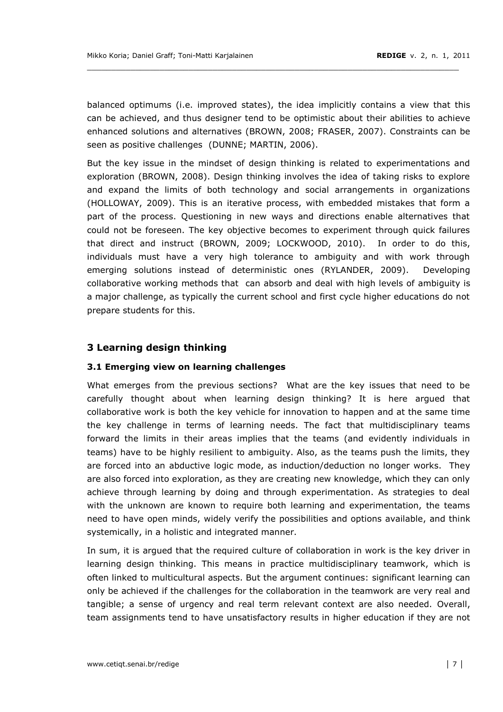balanced optimums (i.e. improved states), the idea implicitly contains a view that this can be achieved, and thus designer tend to be optimistic about their abilities to achieve enhanced solutions and alternatives (BROWN, 2008; FRASER, 2007). Constraints can be seen as positive challenges (DUNNE; MARTIN, 2006).

\_\_\_\_\_\_\_\_\_\_\_\_\_\_\_\_\_\_\_\_\_\_\_\_\_\_\_\_\_\_\_\_\_\_\_\_\_\_\_\_\_\_\_\_\_\_\_\_\_\_\_\_\_\_\_\_\_\_\_\_\_\_\_\_\_\_\_\_\_\_\_\_\_\_\_\_\_

But the key issue in the mindset of design thinking is related to experimentations and exploration (BROWN, 2008). Design thinking involves the idea of taking risks to explore and expand the limits of both technology and social arrangements in organizations (HOLLOWAY, 2009). This is an iterative process, with embedded mistakes that form a part of the process. Questioning in new ways and directions enable alternatives that could not be foreseen. The key objective becomes to experiment through quick failures that direct and instruct (BROWN, 2009; LOCKWOOD, 2010). In order to do this, individuals must have a very high tolerance to ambiguity and with work through emerging solutions instead of deterministic ones (RYLANDER, 2009). Developing collaborative working methods that can absorb and deal with high levels of ambiguity is a major challenge, as typically the current school and first cycle higher educations do not prepare students for this.

## **3 Learning design thinking**

#### **3.1!Emerging!view!on!learning challenges**

What emerges from the previous sections? What are the key issues that need to be carefully thought about when learning design thinking? It is here argued that collaborative work is both the key vehicle for innovation to happen and at the same time the key challenge in terms of learning needs. The fact that multidisciplinary teams forward the limits in their areas implies that the teams (and evidently individuals in teams) have to be highly resilient to ambiguity. Also, as the teams push the limits, they are forced into an abductive logic mode, as induction/deduction no longer works. They are also forced into exploration, as they are creating new knowledge, which they can only achieve through learning by doing and through experimentation. As strategies to deal with the unknown are known to require both learning and experimentation, the teams need to have open minds, widely verify the possibilities and options available, and think systemically, in a holistic and integrated manner.

In sum, it is argued that the required culture of collaboration in work is the key driver in learning design thinking. This means in practice multidisciplinary teamwork, which is often linked to multicultural aspects. But the argument continues: significant learning can only be achieved if the challenges for the collaboration in the teamwork are very real and tangible; a sense of urgency and real term relevant context are also needed. Overall, team assignments tend to have unsatisfactory results in higher education if they are not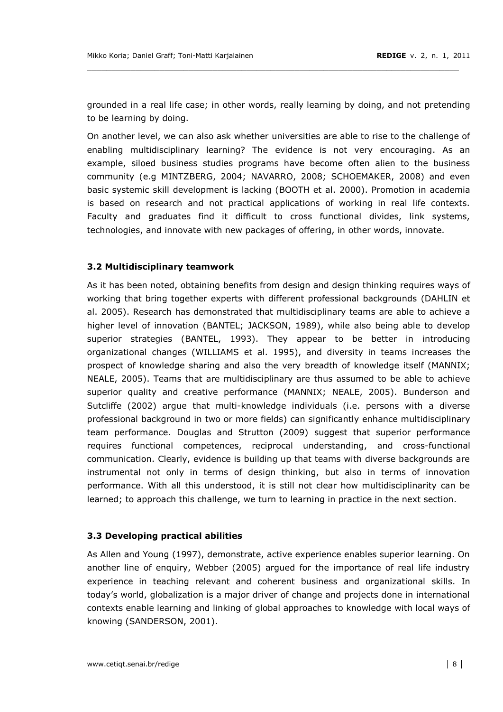grounded in a real life case; in other words, really learning by doing, and not pretending to be learning by doing.

On another level, we can also ask whether universities are able to rise to the challenge of enabling multidisciplinary learning? The evidence is not very encouraging. As an example, siloed business studies programs have become often alien to the business community (e.g MINTZBERG, 2004; NAVARRO, 2008; SCHOEMAKER, 2008) and even basic systemic skill development is lacking (BOOTH et al. 2000). Promotion in academia is based on research and not practical applications of working in real life contexts. Faculty and graduates find it difficult to cross functional divides, link systems, technologies, and innovate with new packages of offering, in other words, innovate.

#### 3.2 Multidisciplinary teamwork

As it has been noted, obtaining benefits from design and design thinking requires ways of working that bring together experts with different professional backgrounds (DAHLIN et al. 2005). Research has demonstrated that multidisciplinary teams are able to achieve a higher level of innovation (BANTEL; JACKSON, 1989), while also being able to develop superior strategies (BANTEL, 1993). They appear to be better in introducing organizational changes (WILLIAMS et al. 1995), and diversity in teams increases the prospect of knowledge sharing and also the very breadth of knowledge itself (MANNIX; NEALE, 2005). Teams that are multidisciplinary are thus assumed to be able to achieve superior quality and creative performance (MANNIX; NEALE, 2005). Bunderson and Sutcliffe (2002) argue that multi-knowledge individuals (i.e. persons with a diverse professional background in two or more fields) can significantly enhance multidisciplinary team performance. Douglas and Strutton (2009) suggest that superior performance requires functional competences, reciprocal understanding, and cross-functional communication. Clearly, evidence is building up that teams with diverse backgrounds are instrumental not only in terms of design thinking, but also in terms of innovation performance. With all this understood, it is still not clear how multidisciplinarity can be learned; to approach this challenge, we turn to learning in practice in the next section.

#### 3.3 Developing practical abilities

As Allen and Young (1997), demonstrate, active experience enables superior learning. On another line of enquiry, Webber (2005) argued for the importance of real life industry experience in teaching relevant and coherent business and organizational skills. In today's world, globalization is a major driver of change and projects done in international contexts enable learning and linking of global approaches to knowledge with local ways of knowing (SANDERSON, 2001).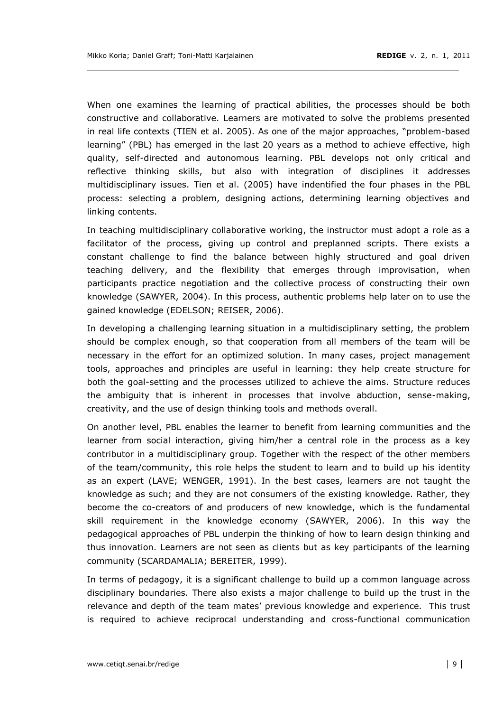When one examines the learning of practical abilities, the processes should be both constructive and collaborative. Learners are motivated to solve the problems presented in real life contexts (TIEN et al. 2005). As one of the major approaches, "problem-based learning" (PBL) has emerged in the last 20 years as a method to achieve effective, high quality, self-directed and autonomous learning. PBL develops not only critical and reflective thinking skills, but also with integration of disciplines it addresses multidisciplinary issues. Tien et al. (2005) have indentified the four phases in the PBL process: selecting a problem, designing actions, determining learning objectives and linking contents.

In teaching multidisciplinary collaborative working, the instructor must adopt a role as a facilitator of the process, giving up control and preplanned scripts. There exists a constant challenge to find the balance between highly structured and goal driven teaching delivery, and the flexibility that emerges through improvisation, when participants practice negotiation and the collective process of constructing their own knowledge (SAWYER, 2004). In this process, authentic problems help later on to use the gained knowledge (EDELSON; REISER, 2006).

In developing a challenging learning situation in a multidisciplinary setting, the problem should be complex enough, so that cooperation from all members of the team will be necessary in the effort for an optimized solution. In many cases, project management tools, approaches and principles are useful in learning: they help create structure for both the goal-setting and the processes utilized to achieve the aims. Structure reduces the ambiguity that is inherent in processes that involve abduction, sense-making, creativity, and the use of design thinking tools and methods overall.

On another level, PBL enables the learner to benefit from learning communities and the learner from social interaction, giving him/her a central role in the process as a key contributor in a multidisciplinary group. Together with the respect of the other members of the team/community, this role helps the student to learn and to build up his identity as an expert (LAVE; WENGER, 1991). In the best cases, learners are not taught the knowledge as such; and they are not consumers of the existing knowledge. Rather, they become the co-creators of and producers of new knowledge, which is the fundamental skill requirement in the knowledge economy (SAWYER, 2006). In this way the pedagogical approaches of PBL underpin the thinking of how to learn design thinking and thus innovation. Learners are not seen as clients but as key participants of the learning community (SCARDAMALIA; BEREITER, 1999).

In terms of pedagogy, it is a significant challenge to build up a common language across disciplinary boundaries. There also exists a major challenge to build up the trust in the relevance and depth of the team mates' previous knowledge and experience. This trust is required to achieve reciprocal understanding and cross-functional communication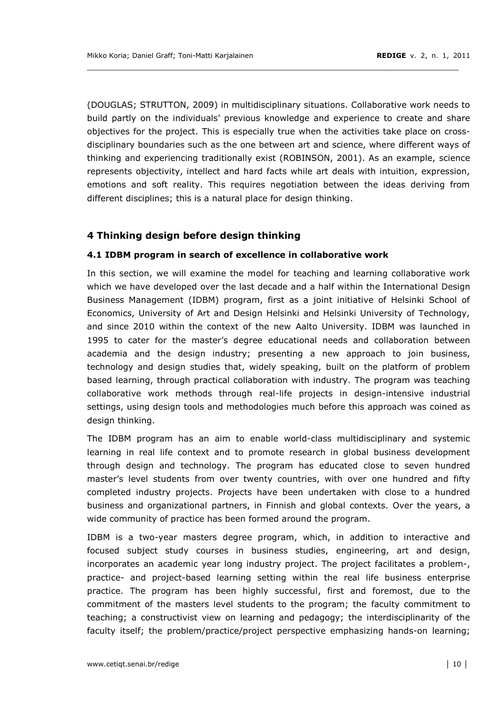(DOUGLAS; STRUTTON, 2009) in multidisciplinary situations. Collaborative work needs to build partly on the individuals' previous knowledge and experience to create and share objectives for the project. This is especially true when the activities take place on crossdisciplinary boundaries such as the one between art and science, where different ways of thinking and experiencing traditionally exist (ROBINSON, 2001). As an example, science represents objectivity, intellect and hard facts while art deals with intuition, expression, emotions and soft reality. This requires negotiation between the ideas deriving from different disciplines; this is a natural place for design thinking.

## 4 Thinking design before design thinking

#### 4.1 IDBM program in search of excellence in collaborative work

In this section, we will examine the model for teaching and learning collaborative work which we have developed over the last decade and a half within the International Design Business Management (IDBM) program, first as a joint initiative of Helsinki School of Economics, University of Art and Design Helsinki and Helsinki University of Technology, and since 2010 within the context of the new Aalto University. IDBM was launched in 1995 to cater for the master's degree educational needs and collaboration between academia and the design industry; presenting a new approach to join business, technology and design studies that, widely speaking, built on the platform of problem based learning, through practical collaboration with industry. The program was teaching collaborative work methods through real-life projects in design-intensive industrial settings, using design tools and methodologies much before this approach was coined as design thinking.

The IDBM program has an aim to enable world-class multidisciplinary and systemic learning in real life context and to promote research in global business development through design and technology. The program has educated close to seven hundred master's level students from over twenty countries, with over one hundred and fifty completed industry projects. Projects have been undertaken with close to a hundred business and organizational partners, in Finnish and global contexts. Over the years, a wide community of practice has been formed around the program.

IDBM is a two-year masters degree program, which, in addition to interactive and focused subject study courses in business studies, engineering, art and design, incorporates an academic year long industry project. The project facilitates a problem-, practice- and project-based learning setting within the real life business enterprise practice. The program has been highly successful, first and foremost, due to the commitment of the masters level students to the program; the faculty commitment to teaching; a constructivist view on learning and pedagogy; the interdisciplinarity of the faculty itself; the problem/practice/project perspective emphasizing hands-on learning;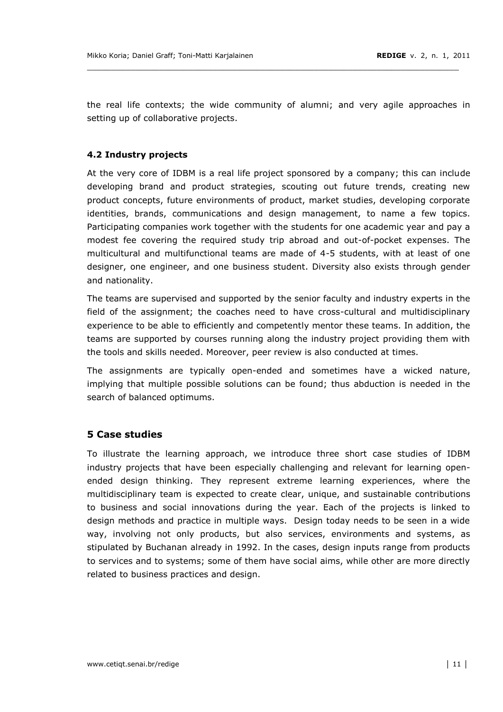the real life contexts; the wide community of alumni; and very agile approaches in setting up of collaborative projects.

\_\_\_\_\_\_\_\_\_\_\_\_\_\_\_\_\_\_\_\_\_\_\_\_\_\_\_\_\_\_\_\_\_\_\_\_\_\_\_\_\_\_\_\_\_\_\_\_\_\_\_\_\_\_\_\_\_\_\_\_\_\_\_\_\_\_\_\_\_\_\_\_\_\_\_\_\_

## **4.2!Industry!projects**

At the very core of IDBM is a real life project sponsored by a company: this can include developing brand and product strategies, scouting out future trends, creating new product concepts, future environments of product, market studies, developing corporate identities, brands, communications and design management, to name a few topics. Participating companies work together with the students for one academic year and pay a modest fee covering the required study trip abroad and out-of-pocket expenses. The multicultural and multifunctional teams are made of 4-5 students, with at least of one designer, one engineer, and one business student. Diversity also exists through gender and nationality.

The teams are supervised and supported by the senior faculty and industry experts in the field of the assignment; the coaches need to have cross-cultural and multidisciplinary experience to be able to efficiently and competently mentor these teams. In addition, the teams are supported by courses running along the industry project providing them with the tools and skills needed. Moreover, peer review is also conducted at times.

The assignments are typically open-ended and sometimes have a wicked nature, implying that multiple possible solutions can be found; thus abduction is needed in the search of balanced optimums.

## **5 Case studies**

To illustrate the learning approach, we introduce three short case studies of IDBM industry projects that have been especially challenging and relevant for learning openended design thinking. They represent extreme learning experiences, where the multidisciplinary team is expected to create clear, unique, and sustainable contributions to business and social innovations during the year. Each of the projects is linked to design methods and practice in multiple ways. Design today needs to be seen in a wide way, involving not only products, but also services, environments and systems, as stipulated by Buchanan already in 1992. In the cases, design inputs range from products to services and to systems; some of them have social aims, while other are more directly related to business practices and design.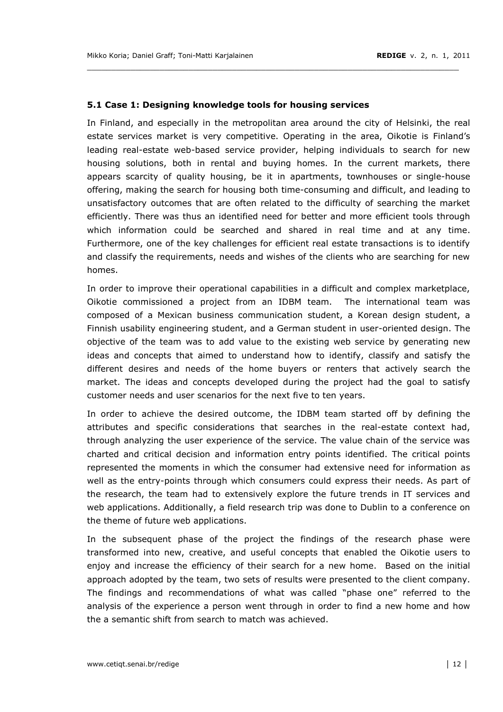#### **5.1 Case 1: Designing knowledge tools for housing services**

In Finland, and especially in the metropolitan area around the city of Helsinki, the real estate services market is very competitive. Operating in the area, Oikotie is Finland's leading real-estate web-based service provider, helping individuals to search for new housing solutions, both in rental and buying homes. In the current markets, there appears scarcity of quality housing, be it in apartments, townhouses or single-house offering, making the search for housing both time-consuming and difficult, and leading to unsatisfactory outcomes that are often related to the difficulty of searching the market efficiently. There was thus an identified need for better and more efficient tools through which information could be searched and shared in real time and at any time. Furthermore, one of the key challenges for efficient real estate transactions is to identify and classify the requirements, needs and wishes of the clients who are searching for new homes.

\_\_\_\_\_\_\_\_\_\_\_\_\_\_\_\_\_\_\_\_\_\_\_\_\_\_\_\_\_\_\_\_\_\_\_\_\_\_\_\_\_\_\_\_\_\_\_\_\_\_\_\_\_\_\_\_\_\_\_\_\_\_\_\_\_\_\_\_\_\_\_\_\_\_\_\_\_

In order to improve their operational capabilities in a difficult and complex marketplace, Oikotie commissioned a project from an IDBM team. The international team was composed of a Mexican business communication student, a Korean design student, a Finnish usability engineering student, and a German student in user-oriented design. The objective of the team was to add value to the existing web service by generating new ideas and concepts that aimed to understand how to identify, classify and satisfy the different desires and needs of the home buyers or renters that actively search the market. The ideas and concepts developed during the project had the goal to satisfy customer needs and user scenarios for the next five to ten years.

In order to achieve the desired outcome, the IDBM team started off by defining the attributes and specific considerations that searches in the real-estate context had, through analyzing the user experience of the service. The value chain of the service was charted and critical decision and information entry points identified. The critical points represented the moments in which the consumer had extensive need for information as well as the entry-points through which consumers could express their needs. As part of the research, the team had to extensively explore the future trends in IT services and web applications. Additionally, a field research trip was done to Dublin to a conference on the theme of future web applications.

In the subsequent phase of the project the findings of the research phase were transformed into new, creative, and useful concepts that enabled the Oikotie users to enjoy and increase the efficiency of their search for a new home. Based on the initial approach adopted by the team, two sets of results were presented to the client company. The findings and recommendations of what was called "phase one" referred to the analysis of the experience a person went through in order to find a new home and how the a semantic shift from search to match was achieved.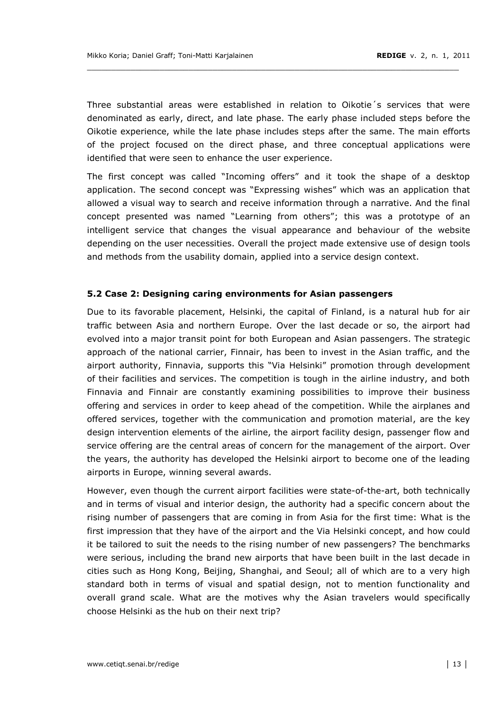Three substantial areas were established in relation to Oikotie's services that were denominated as early, direct, and late phase. The early phase included steps before the Oikotie experience, while the late phase includes steps after the same. The main efforts of the project focused on the direct phase, and three conceptual applications were identified that were seen to enhance the user experience.

The first concept was called "Incoming offers" and it took the shape of a desktop application. The second concept was "Expressing wishes" which was an application that allowed a visual way to search and receive information through a narrative. And the final concept presented was named "Learning from others"; this was a prototype of an intelligent service that changes the visual appearance and behaviour of the website depending on the user necessities. Overall the project made extensive use of design tools and methods from the usability domain, applied into a service design context.

#### 5.2 Case 2: Designing caring environments for Asian passengers

Due to its favorable placement, Helsinki, the capital of Finland, is a natural hub for air traffic between Asia and northern Europe. Over the last decade or so, the airport had evolved into a major transit point for both European and Asian passengers. The strategic approach of the national carrier, Finnair, has been to invest in the Asian traffic, and the airport authority, Finnavia, supports this "Via Helsinki" promotion through development of their facilities and services. The competition is tough in the airline industry, and both Finnavia and Finnair are constantly examining possibilities to improve their business offering and services in order to keep ahead of the competition. While the airplanes and offered services, together with the communication and promotion material, are the key design intervention elements of the airline, the airport facility design, passenger flow and service offering are the central areas of concern for the management of the airport. Over the years, the authority has developed the Helsinki airport to become one of the leading airports in Europe, winning several awards.

However, even though the current airport facilities were state-of-the-art, both technically and in terms of visual and interior design, the authority had a specific concern about the rising number of passengers that are coming in from Asia for the first time: What is the first impression that they have of the airport and the Via Helsinki concept, and how could it be tailored to suit the needs to the rising number of new passengers? The benchmarks were serious, including the brand new airports that have been built in the last decade in cities such as Hong Kong, Beijing, Shanghai, and Seoul; all of which are to a very high standard both in terms of visual and spatial design, not to mention functionality and overall grand scale. What are the motives why the Asian travelers would specifically choose Helsinki as the hub on their next trip?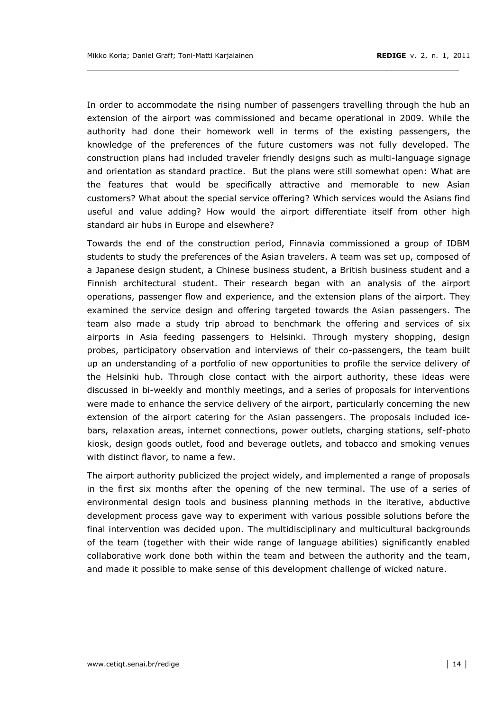In order to accommodate the rising number of passengers travelling through the hub an extension of the airport was commissioned and became operational in 2009. While the authority had done their homework well in terms of the existing passengers, the knowledge of the preferences of the future customers was not fully developed. The construction plans had included traveler friendly designs such as multi-language signage and orientation as standard practice. But the plans were still somewhat open: What are the features that would be specifically attractive and memorable to new Asian customers? What about the special service offering? Which services would the Asians find useful and value adding? How would the airport differentiate itself from other high standard air hubs in Europe and elsewhere?

\_\_\_\_\_\_\_\_\_\_\_\_\_\_\_\_\_\_\_\_\_\_\_\_\_\_\_\_\_\_\_\_\_\_\_\_\_\_\_\_\_\_\_\_\_\_\_\_\_\_\_\_\_\_\_\_\_\_\_\_\_\_\_\_\_\_\_\_\_\_\_\_\_\_\_\_\_

Towards the end of the construction period, Finnavia commissioned a group of IDBM students to study the preferences of the Asian travelers. A team was set up, composed of a Japanese design student, a Chinese business student, a British business student and a Finnish architectural student. Their research began with an analysis of the airport operations, passenger flow and experience, and the extension plans of the airport. They examined the service design and offering targeted towards the Asian passengers. The team also made a study trip abroad to benchmark the offering and services of six airports in Asia feeding passengers to Helsinki. Through mystery shopping, design probes, participatory observation and interviews of their co-passengers, the team built up an understanding of a portfolio of new opportunities to profile the service delivery of the Helsinki hub. Through close contact with the airport authority, these ideas were discussed in bi-weekly and monthly meetings, and a series of proposals for interventions were made to enhance the service delivery of the airport, particularly concerning the new extension of the airport catering for the Asian passengers. The proposals included icebars, relaxation areas, internet connections, power outlets, charging stations, self-photo kiosk, design goods outlet, food and beverage outlets, and tobacco and smoking venues with distinct flavor, to name a few.

The airport authority publicized the project widely, and implemented a range of proposals in the first six months after the opening of the new terminal. The use of a series of environmental design tools and business planning methods in the iterative, abductive development process gave way to experiment with various possible solutions before the final intervention was decided upon. The multidisciplinary and multicultural backgrounds of the team (together with their wide range of language abilities) significantly enabled collaborative work done both within the team and between the authority and the team, and made it possible to make sense of this development challenge of wicked nature.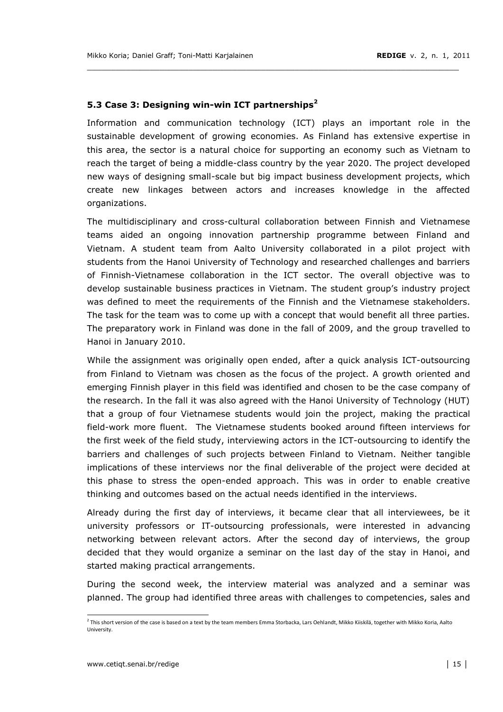## 5.3 Case 3: Designing win-win ICT partnerships<sup>2</sup>

Information and communication technology (ICT) plays an important role in the sustainable development of growing economies. As Finland has extensive expertise in this area, the sector is a natural choice for supporting an economy such as Vietnam to reach the target of being a middle-class country by the year 2020. The project developed new ways of designing small-scale but big impact business development projects, which create new linkages between actors and increases knowledge in the affected organizations.

\_\_\_\_\_\_\_\_\_\_\_\_\_\_\_\_\_\_\_\_\_\_\_\_\_\_\_\_\_\_\_\_\_\_\_\_\_\_\_\_\_\_\_\_\_\_\_\_\_\_\_\_\_\_\_\_\_\_\_\_\_\_\_\_\_\_\_\_\_\_\_\_\_\_\_\_\_

The multidisciplinary and cross-cultural collaboration between Finnish and Vietnamese teams aided an ongoing innovation partnership programme between Finland and Vietnam. A student team from Aalto University collaborated in a pilot project with students from the Hanoi University of Technology and researched challenges and barriers of Finnish-Vietnamese collaboration in the ICT sector. The overall objective was to develop sustainable business practices in Vietnam. The student group's industry project was defined to meet the requirements of the Finnish and the Vietnamese stakeholders. The task for the team was to come up with a concept that would benefit all three parties. The preparatory work in Finland was done in the fall of 2009, and the group travelled to Hanoi in January 2010.

While the assignment was originally open ended, after a quick analysis ICT-outsourcing from Finland to Vietnam was chosen as the focus of the project. A growth oriented and emerging Finnish player in this field was identified and chosen to be the case company of the research. In the fall it was also agreed with the Hanoi University of Technology (HUT) that a group of four Vietnamese students would join the project, making the practical field-work more fluent. The Vietnamese students booked around fifteen interviews for the first week of the field study, interviewing actors in the ICT-outsourcing to identify the barriers and challenges of such projects between Finland to Vietnam. Neither tangible implications of these interviews nor the final deliverable of the project were decided at this phase to stress the open-ended approach. This was in order to enable creative thinking and outcomes based on the actual needs identified in the interviews.

Already during the first day of interviews, it became clear that all interviewees, be it university professors or IT-outsourcing professionals, were interested in advancing networking between relevant actors. After the second day of interviews, the group decided that they would organize a seminar on the last day of the stay in Hanoi, and started making practical arrangements.

During the second week, the interview material was analyzed and a seminar was planned. The group had identified three areas with challenges to competencies, sales and

<sup>&</sup>lt;sup>2</sup> This short version of the case is based on a text by the team members Emma Storbacka, Lars Oehlandt, Mikko Kiiskilä, together with Mikko Koria, Aalto University.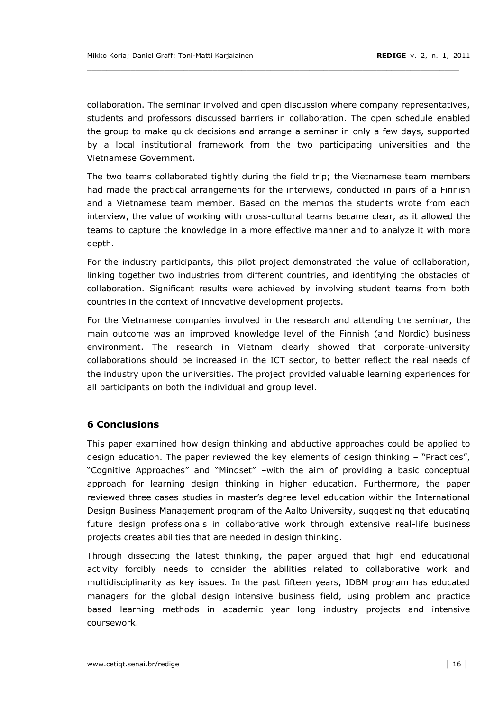collaboration. The seminar involved and open discussion where company representatives, students and professors discussed barriers in collaboration. The open schedule enabled the group to make quick decisions and arrange a seminar in only a few days, supported by a local institutional framework from the two participating universities and the Vietnamese!Government.

\_\_\_\_\_\_\_\_\_\_\_\_\_\_\_\_\_\_\_\_\_\_\_\_\_\_\_\_\_\_\_\_\_\_\_\_\_\_\_\_\_\_\_\_\_\_\_\_\_\_\_\_\_\_\_\_\_\_\_\_\_\_\_\_\_\_\_\_\_\_\_\_\_\_\_\_\_

The two teams collaborated tightly during the field trip; the Vietnamese team members had made the practical arrangements for the interviews, conducted in pairs of a Finnish and a Vietnamese team member. Based on the memos the students wrote from each interview, the value of working with cross-cultural teams became clear, as it allowed the teams to capture the knowledge in a more effective manner and to analyze it with more depth.

For the industry participants, this pilot project demonstrated the value of collaboration, linking together two industries from different countries, and identifying the obstacles of collaboration. Significant results were achieved by involving student teams from both countries in the context of innovative development projects.

For the Vietnamese companies involved in the research and attending the seminar, the main outcome was an improved knowledge level of the Finnish (and Nordic) business environment. The research in Vietnam clearly showed that corporate-university collaborations should be increased in the ICT sector, to better reflect the real needs of the industry upon the universities. The project provided valuable learning experiences for all participants on both the individual and group level.

## **6!Conclusions**

This paper examined how design thinking and abductive approaches could be applied to design education. The paper reviewed the key elements of design thinking  $-$  "Practices", "Cognitive Approaches" and "Mindset" -with the aim of providing a basic conceptual approach for learning design thinking in higher education. Furthermore, the paper reviewed three cases studies in master's degree level education within the International Design Business Management program of the Aalto University, suggesting that educating future design professionals in collaborative work through extensive real-life business projects creates abilities that are needed in design thinking.

Through dissecting the latest thinking, the paper argued that high end educational activity forcibly needs to consider the abilities related to collaborative work and multidisciplinarity as key issues. In the past fifteen years, IDBM program has educated managers for the global design intensive business field, using problem and practice based learning methods in academic year long industry projects and intensive coursework.!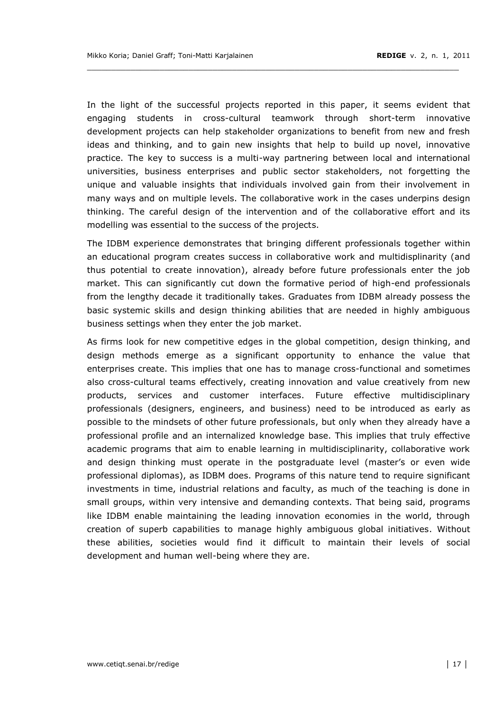In the light of the successful projects reported in this paper, it seems evident that engaging students in cross-cultural teamwork through short-term innovative development projects can help stakeholder organizations to benefit from new and fresh ideas and thinking, and to gain new insights that help to build up novel, innovative practice. The key to success is a multi-way partnering between local and international universities, business enterprises and public sector stakeholders, not forgetting the unique and valuable insights that individuals involved gain from their involvement in many ways and on multiple levels. The collaborative work in the cases underpins design thinking. The careful design of the intervention and of the collaborative effort and its modelling was essential to the success of the projects.

\_\_\_\_\_\_\_\_\_\_\_\_\_\_\_\_\_\_\_\_\_\_\_\_\_\_\_\_\_\_\_\_\_\_\_\_\_\_\_\_\_\_\_\_\_\_\_\_\_\_\_\_\_\_\_\_\_\_\_\_\_\_\_\_\_\_\_\_\_\_\_\_\_\_\_\_\_

The IDBM experience demonstrates that bringing different professionals together within an educational program creates success in collaborative work and multidisplinarity (and thus potential to create innovation), already before future professionals enter the job market. This can significantly cut down the formative period of high-end professionals from the lengthy decade it traditionally takes. Graduates from IDBM already possess the basic systemic skills and design thinking abilities that are needed in highly ambiguous business settings when they enter the job market.

As firms look for new competitive edges in the global competition, design thinking, and design methods emerge as a significant opportunity to enhance the value that enterprises create. This implies that one has to manage cross-functional and sometimes also cross-cultural teams effectively, creating innovation and value creatively from new products, services and customer interfaces. Future effective multidisciplinary professionals (designers, engineers, and business) need to be introduced as early as possible to the mindsets of other future professionals, but only when they already have a professional profile and an internalized knowledge base. This implies that truly effective academic programs that aim to enable learning in multidisciplinarity, collaborative work and design thinking must operate in the postgraduate level (master's or even wide professional diplomas), as IDBM does. Programs of this nature tend to require significant investments in time, industrial relations and faculty, as much of the teaching is done in small groups, within very intensive and demanding contexts. That being said, programs like IDBM enable maintaining the leading innovation economies in the world, through creation of superb capabilities to manage highly ambiguous global initiatives. Without these abilities, societies would find it difficult to maintain their levels of social development and human well-being where they are.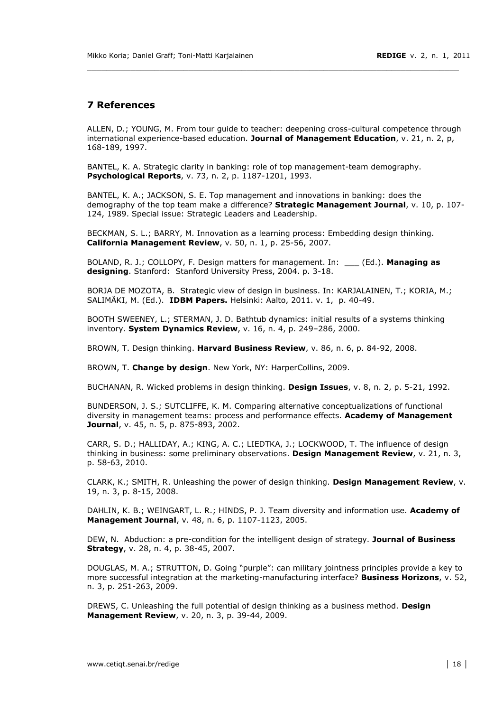#### **7!References**

ALLEN, D.; YOUNG, M. From tour quide to teacher: deepening cross-cultural competence through international experience-based education. Journal of Management Education, v. 21, n. 2, p, 168-189, 1997.

\_\_\_\_\_\_\_\_\_\_\_\_\_\_\_\_\_\_\_\_\_\_\_\_\_\_\_\_\_\_\_\_\_\_\_\_\_\_\_\_\_\_\_\_\_\_\_\_\_\_\_\_\_\_\_\_\_\_\_\_\_\_\_\_\_\_\_\_\_\_\_\_\_\_\_\_\_

BANTEL, K. A. Strategic clarity in banking: role of top management-team demography. **Psychological Reports**, v. 73, n. 2, p. 1187-1201, 1993.

BANTEL, K. A.; JACKSON, S. E. Top management and innovations in banking: does the demography of the top team make a difference? **Strategic Management Journal**, v. 10, p. 107-124, 1989. Special issue: Strategic Leaders and Leadership.

BECKMAN, S. L.: BARRY, M. Innovation as a learning process: Embedding design thinking. **California Management Review**, v. 50, n. 1, p. 25-56, 2007.

BOLAND, R. J.; COLLOPY, F. Design matters for management. In: \_\_\_ (Ed.). Managing as designing. Stanford: Stanford University Press, 2004. p. 3-18.

BORJA DE MOZOTA, B. Strategic view of design in business. In: KARJALAINEN, T.; KORIA, M.; SALIMÄKI, M. (Ed.). **IDBM Papers.** Helsinki: Aalto, 2011. v. 1, p. 40-49.

BOOTH SWEENEY, L.; STERMAN, J. D. Bathtub dynamics: initial results of a systems thinking inventory. **System Dynamics Review**, v. 16, n. 4, p. 249-286, 2000.

BROWN, T. Design thinking. **Harvard Business Review**, v. 86, n. 6, p. 84-92, 2008.

BROWN, T. **Change by design**. New York, NY: HarperCollins, 2009.

BUCHANAN, R. Wicked problems in design thinking. Design Issues, v. 8, n. 2, p. 5-21, 1992.

BUNDERSON, J. S.; SUTCLIFFE, K. M. Comparing alternative conceptualizations of functional diversity in management teams: process and performance effects. **Academy of Management Journal**, v. 45, n. 5, p. 875-893, 2002.

CARR, S. D.; HALLIDAY, A.; KING, A. C.; LIEDTKA, J.; LOCKWOOD, T. The influence of design thinking in business: some preliminary observations. Design Management Review, v. 21, n. 3, p. 58-63, 2010.

CLARK, K.; SMITH, R. Unleashing the power of design thinking. Design Management Review, v. 19, n. 3, p. 8-15, 2008.

DAHLIN, K. B.; WEINGART, L. R.; HINDS, P. J. Team diversity and information use. Academy of **Management Journal**, v. 48, n. 6, p. 1107-1123, 2005.

DEW, N. Abduction: a pre-condition for the intelligent design of strategy. Journal of Business **Strategy**, v. 28, n. 4, p. 38-45, 2007.

DOUGLAS, M. A.; STRUTTON, D. Going "purple": can military jointness principles provide a key to more successful integration at the marketing-manufacturing interface? **Business Horizons**, v. 52, n. 3, p. 251-263, 2009.

DREWS, C. Unleashing the full potential of design thinking as a business method. Design **Management Review**, v. 20, n. 3, p. 39-44, 2009.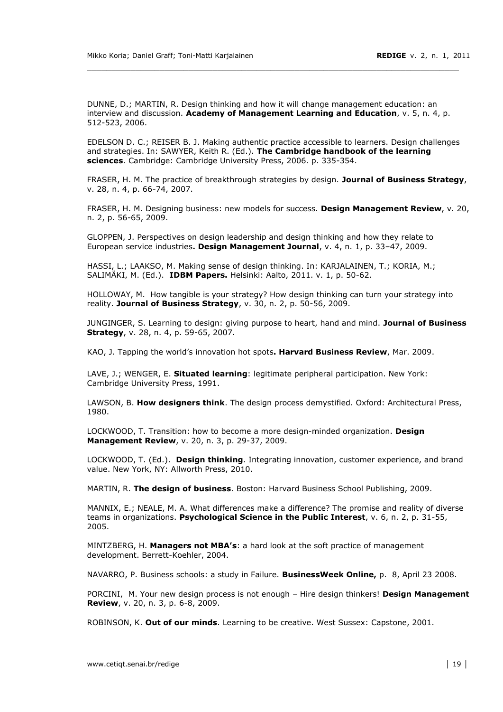DUNNE, D.; MARTIN, R. Design thinking and how it will change management education: an interview and discussion. **Academy of Management Learning and Education**, v. 5, n. 4, p. 512-523, 2006.

\_\_\_\_\_\_\_\_\_\_\_\_\_\_\_\_\_\_\_\_\_\_\_\_\_\_\_\_\_\_\_\_\_\_\_\_\_\_\_\_\_\_\_\_\_\_\_\_\_\_\_\_\_\_\_\_\_\_\_\_\_\_\_\_\_\_\_\_\_\_\_\_\_\_\_\_\_

EDELSON D. C.; REISER B. J. Making authentic practice accessible to learners. Design challenges and strategies. In: SAWYER, Keith R. (Ed.). **The Cambridge handbook of the learning** sciences. Cambridge: Cambridge University Press, 2006. p. 335-354.

FRASER, H. M. The practice of breakthrough strategies by design. Journal of Business Strategy, v. 28, n. 4, p. 66-74, 2007.

FRASER, H. M. Designing business: new models for success. Design Management Review, v. 20, n. 2, p. 56-65, 2009.

GLOPPEN, J. Perspectives on design leadership and design thinking and how they relate to European service industries**. Design Management Journal**, v. 4, n. 1, p. 33-47, 2009.

HASSI, L.; LAAKSO, M. Making sense of design thinking. In: KARJALAINEN, T.; KORIA, M.; SALIMÄKI, M. (Ed.). **IDBM Papers.** Helsinki: Aalto, 2011. v. 1, p. 50-62.

HOLLOWAY, M. How tangible is your strategy? How design thinking can turn your strategy into reality. Journal of Business Strategy, v. 30, n. 2, p. 50-56, 2009.

JUNGINGER, S. Learning to design: giving purpose to heart, hand and mind. Journal of Business **Strategy**, v. 28, n. 4, p. 59-65, 2007.

KAO, J. Tapping the world's innovation hot spots. Harvard Business Review, Mar. 2009.

LAVE, J.; WENGER, E. Situated learning: legitimate peripheral participation. New York: Cambridge University Press, 1991.

LAWSON, B. How designers think. The design process demystified. Oxford: Architectural Press, 1980.

LOCKWOOD, T. Transition: how to become a more design-minded organization. Design **Management Review**, v. 20, n. 3, p. 29-37, 2009.

LOCKWOOD, T. (Ed.). Design thinking. Integrating innovation, customer experience, and brand value. New York, NY: Allworth Press, 2010.

MARTIN, R. The design of business. Boston: Harvard Business School Publishing, 2009.

MANNIX, E.: NEALE, M. A. What differences make a difference? The promise and reality of diverse teams in organizations. **Psychological Science in the Public Interest**, v. 6, n. 2, p. 31-55, 2005.

MINTZBERG, H. **Managers not MBA's**: a hard look at the soft practice of management development. Berrett-Koehler, 2004.

NAVARRO, P. Business schools: a study in Failure. **BusinessWeek Online,** p. 8, April 23 2008.

PORCINI, M. Your new design process is not enough - Hire design thinkers! Design Management **Review**, v. 20, n. 3, p. 6-8, 2009.

ROBINSON, K. Out of our minds. Learning to be creative. West Sussex: Capstone, 2001.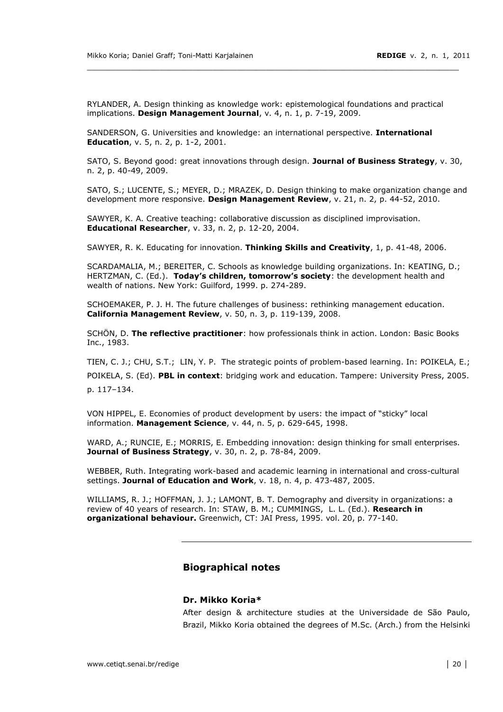RYLANDER, A. Design thinking as knowledge work: epistemological foundations and practical implications. Design Management Journal, v. 4, n. 1, p. 7-19, 2009.

\_\_\_\_\_\_\_\_\_\_\_\_\_\_\_\_\_\_\_\_\_\_\_\_\_\_\_\_\_\_\_\_\_\_\_\_\_\_\_\_\_\_\_\_\_\_\_\_\_\_\_\_\_\_\_\_\_\_\_\_\_\_\_\_\_\_\_\_\_\_\_\_\_\_\_\_\_

SANDERSON, G. Universities and knowledge: an international perspective. International **Education**, v. 5, n. 2, p. 1-2, 2001.

SATO, S. Beyond good: great innovations through design. Journal of Business Strategy, v. 30, n. 2, p. 40-49, 2009.

SATO, S.; LUCENTE, S.; MEYER, D.; MRAZEK, D. Design thinking to make organization change and development more responsive. Design Management Review, v. 21, n. 2, p. 44-52, 2010.

SAWYER, K. A. Creative teaching: collaborative discussion as disciplined improvisation. **Educational Researcher**, v. 33, n. 2, p. 12-20, 2004.

SAWYER, R. K. Educating for innovation. Thinking Skills and Creativity, 1, p. 41-48, 2006.

SCARDAMALIA, M.; BEREITER, C. Schools as knowledge building organizations. In: KEATING, D.; HERTZMAN, C. (Ed.). Today's children, tomorrow's society: the development health and wealth of nations. New York: Guilford, 1999. p. 274-289.

SCHOEMAKER, P. J. H. The future challenges of business: rethinking management education. **California Management Review**, v. 50, n. 3, p. 119-139, 2008.

SCHÖN, D. **The reflective practitioner**: how professionals think in action. London: Basic Books Inc., 1983.

TIEN, C. J.; CHU, S.T.; LIN, Y. P. The strategic points of problem-based learning. In: POIKELA, E.; POIKELA, S. (Ed). PBL in context: bridging work and education. Tampere: University Press, 2005. p. 117-134.

VON HIPPEL, E. Economies of product development by users: the impact of "sticky" local information. Management Science, v. 44, n. 5, p. 629-645, 1998.

WARD, A.: RUNCIE, E.: MORRIS, E. Embedding innovation: design thinking for small enterprises. **Journal of Business Strategy**, v. 30, n. 2, p. 78-84, 2009.

WEBBER, Ruth. Integrating work-based and academic learning in international and cross-cultural settings. **Journal of Education and Work**, v. 18, n. 4, p. 473-487, 2005.

WILLIAMS, R. J.; HOFFMAN, J. J.; LAMONT, B. T. Demography and diversity in organizations: a review of 40 years of research. In: STAW, B. M.; CUMMINGS, L. L. (Ed.). Research in **organizational behaviour.** Greenwich, CT: JAI Press, 1995. vol. 20, p. 77-140.

#### **Biographical!notes**

#### **Dr.!Mikko!Koria\***

After design & architecture studies at the Universidade de São Paulo, Brazil, Mikko Koria obtained the degrees of M.Sc. (Arch.) from the Helsinki